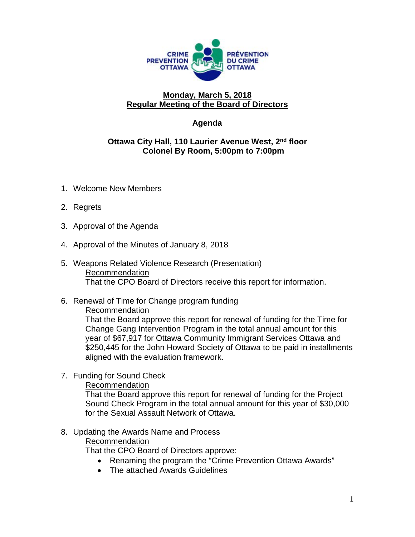

# **Monday, March 5, 2018 Regular Meeting of the Board of Directors**

# **Agenda**

### **Ottawa City Hall, 110 Laurier Avenue West, 2nd floor Colonel By Room, 5:00pm to 7:00pm**

- 1. Welcome New Members
- 2. Regrets
- 3. Approval of the Agenda
- 4. Approval of the Minutes of January 8, 2018
- 5. Weapons Related Violence Research (Presentation) Recommendation That the CPO Board of Directors receive this report for information.
- 6. Renewal of Time for Change program funding

#### Recommendation

That the Board approve this report for renewal of funding for the Time for Change Gang Intervention Program in the total annual amount for this year of \$67,917 for Ottawa Community Immigrant Services Ottawa and \$250,445 for the John Howard Society of Ottawa to be paid in installments aligned with the evaluation framework.

#### 7. Funding for Sound Check

#### Recommendation

That the Board approve this report for renewal of funding for the Project Sound Check Program in the total annual amount for this year of \$30,000 for the Sexual Assault Network of Ottawa.

# 8. Updating the Awards Name and Process

#### Recommendation

That the CPO Board of Directors approve:

- Renaming the program the "Crime Prevention Ottawa Awards"
- The attached Awards Guidelines